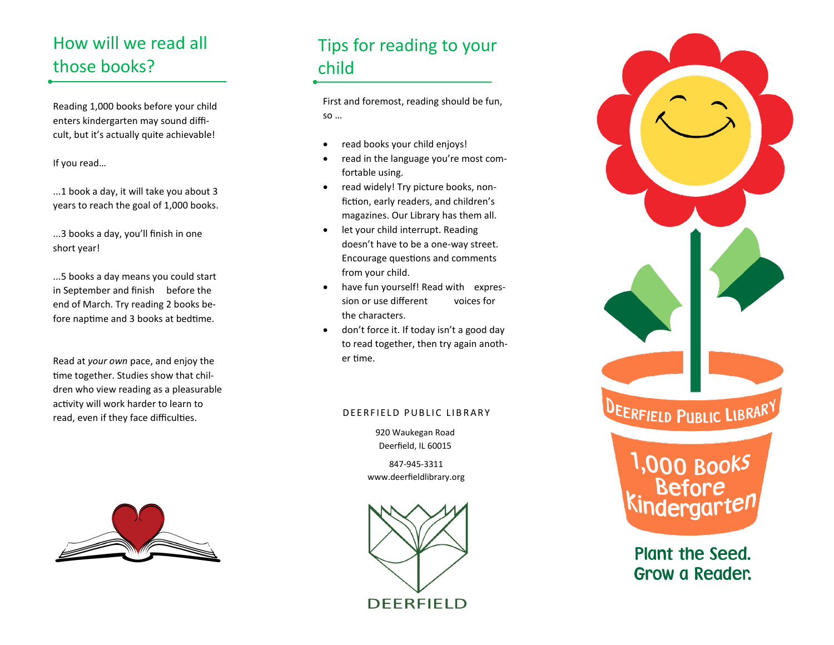### How will we read all those books?

Reading 1,000 books before your child enters kindergarten may sound difficult, but it's actually quite achievable!

If you read…

...1 book a day, it will take you about 3 years to reach the goal of 1,000 books.

...3 books a day, you'll finish in one short year!

...5 books a day means you could start in September and finish before the end of March. Try reading 2 books before naptime and 3 books at bedtime.

Read at *your own* pace, and enjoy the time together. Studies show that children who view reading as a pleasurable activity will work harder to learn to read, even if they face difficulties. The state of the Second DEERFIELD PUBLIC LIBRARY



#### Tips for reading to your child

First and foremost, reading should be fun, so …

- read books your child enjoys!
- read in the language you're most comfortable using.
- read widely! Try picture books, nonfiction, early readers, and children's magazines. Our Library has them all.
- let your child interrupt. Reading doesn't have to be a one-way street. Encourage questions and comments from your child.
- have fun yourself! Read with expression or use different voices for the characters.
- don't force it. If today isn't a good day to read together, then try again another time.

920 Waukegan Road Deerfield, IL 60015

847-945-3311 www.deerfieldlibrary.org